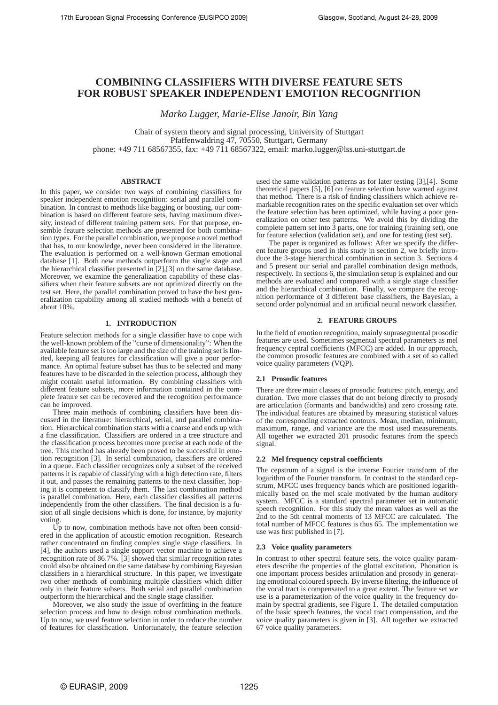# **COMBINING CLASSIFIERS WITH DIVERSE FEATURE SETS FOR ROBUST SPEAKER INDEPENDENT EMOTION RECOGNITION**

*Marko Lugger, Marie-Elise Janoir, Bin Yang*

Chair of system theory and signal processing, University of Stuttgart Pfaffenwaldring 47, 70550, Stuttgart, Germany phone: +49 711 68567355, fax: +49 711 68567322, email: marko.lugger@lss.uni-stuttgart.de

## **ABSTRACT**

In this paper, we consider two ways of combining classifiers for speaker independent emotion recognition: serial and parallel combination. In contrast to methods like bagging or boosting, our combination is based on different feature sets, having maximum diversity, instead of different training pattern sets. For that purpose, ensemble feature selection methods are presented for both combination types. For the parallel combination, we propose a novel method that has, to our knowledge, never been considered in the literature. The evaluation is performed on a well-known German emotional database [1]. Both new methods outperform the single stage and the hierarchical classifier presented in [2],[3] on the same database. Moreover, we examine the generalization capability of these classifiers when their feature subsets are not optimized directly on the test set. Here, the parallel combination proved to have the best generalization capability among all studied methods with a benefit of about 10%.

## **1. INTRODUCTION**

Feature selection methods for a single classifier have to cope with the well-known problem of the "curse of dimensionality": When the available feature set is too large and the size of the training set is limited, keeping all features for classification will give a poor performance. An optimal feature subset has thus to be selected and many features have to be discarded in the selection process, although they might contain useful information. By combining classifiers with different feature subsets, more information contained in the complete feature set can be recovered and the recognition performance can be improved.

Three main methods of combining classifiers have been discussed in the literature: hierarchical, serial, and parallel combination. Hierarchical combination starts with a coarse and ends up with a fine classification. Classifiers are ordered in a tree structure and the classification process becomes more precise at each node of the tree. This method has already been proved to be successful in emotion recognition [3]. In serial combination, classifiers are ordered in a queue. Each classifier recognizes only a subset of the received patterns it is capable of classifying with a high detection rate, filters it out, and passes the remaining patterns to the next classifier, hoping it is competent to classify them. The last combination method is parallel combination. Here, each classifier classifies all patterns independently from the other classifiers. The final decision is a fusion of all single decisions which is done, for instance, by majority voting.

Up to now, combination methods have not often been considered in the application of acoustic emotion recognition. Research rather concentrated on finding complex single stage classifiers. In [4], the authors used a single support vector machine to achieve a recognition rate of 86.7%. [3] showed that similar recognition rates could also be obtained on the same database by combining Bayesian classifiers in a hierarchical structure. In this paper, we investigate two other methods of combining multiple classifiers which differ only in their feature subsets. Both serial and parallel combination outperform the hierarchical and the single stage classifier.

Moreover, we also study the issue of overfitting in the feature selection process and how to design robust combination methods. Up to now, we used feature selection in order to reduce the number of features for classification. Unfortunately, the feature selection used the same validation patterns as for later testing [3],[4]. Some theoretical papers [5], [6] on feature selection have warned against that method. There is a risk of finding classifiers which achieve remarkable recognition rates on the specific evaluation set over which the feature selection has been optimized, while having a poor generalization on other test patterns. We avoid this by dividing the complete pattern set into  $\hat{3}$  parts, one for training (training set), one for feature selection (validation set), and one for testing (test set).

The paper is organized as follows: After we specify the different feature groups used in this study in section 2, we briefly introduce the 3-stage hierarchical combination in section 3. Sections 4 and 5 present our serial and parallel combination design methods, respectively. In sections 6, the simulation setup is explained and our methods are evaluated and compared with a single stage classifier and the hierarchical combination. Finally, we compare the recognition performance of 3 different base classifiers, the Bayesian, a second order polynomial and an artificial neural network classifier.

## **2. FEATURE GROUPS**

In the field of emotion recognition, mainly suprasegmental prosodic features are used. Sometimes segmental spectral parameters as mel frequency ceptral coefficients (MFCC) are added. In our approach, the common prosodic features are combined with a set of so called voice quality parameters (VQP).

## **2.1 Prosodic features**

There are three main classes of prosodic features: pitch, energy, and duration. Two more classes that do not belong directly to prosody are articulation (formants and bandwidths) and zero crossing rate. The individual features are obtained by measuring statistical values of the corresponding extracted contours. Mean, median, minimum, maximum, range, and variance are the most used measurements. All together we extracted 201 prosodic features from the speech signal.

## **2.2 Mel frequency cepstral coefficients**

The cepstrum of a signal is the inverse Fourier transform of the logarithm of the Fourier transform. In contrast to the standard cepstrum, MFCC uses frequency bands which are positioned logarithmically based on the mel scale motivated by the human auditory system. MFCC is a standard spectral parameter set in automatic speech recognition. For this study the mean values as well as the 2nd to the 5th central moments of 13 MFCC are calculated. The total number of MFCC features is thus 65. The implementation we use was first published in [7].

## **2.3 Voice quality parameters**

In contrast to other spectral feature sets, the voice quality parameters describe the properties of the glottal excitation. Phonation is one important process besides articulation and prosody in generating emotional coloured speech. By inverse filtering, the influence of the vocal tract is compensated to a great extent. The feature set we use is a parameterization of the voice quality in the frequency domain by spectral gradients, see Figure 1. The detailed computation of the basic speech features, the vocal tract compensation, and the voice quality parameters is given in [3]. All together we extracted 67 voice quality parameters.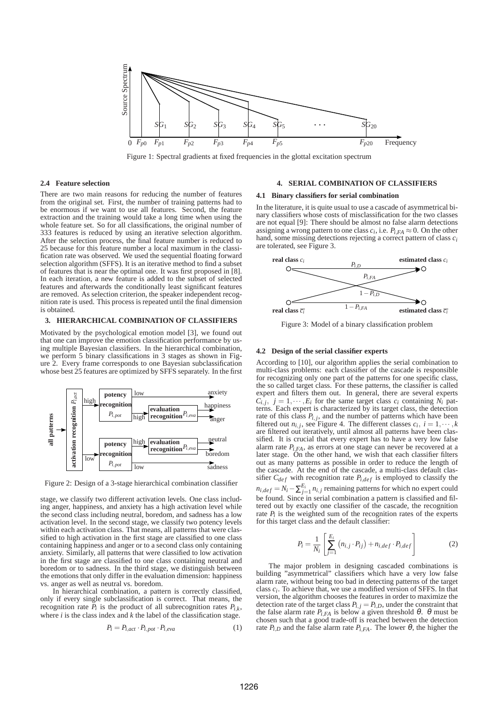

Figure 1: Spectral gradients at fixed frequencies in the glottal excitation spectrum

## **2.4 Feature selection**

There are two main reasons for reducing the number of features from the original set. First, the number of training patterns had to be enormous if we want to use all features. Second, the feature extraction and the training would take a long time when using the whole feature set. So for all classifications, the original number of 333 features is reduced by using an iterative selection algorithm. After the selection process, the final feature number is reduced to 25 because for this feature number a local maximum in the classification rate was observed. We used the sequential floating forward selection algorithm (SFFS). It is an iterative method to find a subset of features that is near the optimal one. It was first proposed in [8]. In each iteration, a new feature is added to the subset of selected features and afterwards the conditionally least significant features are removed. As selection criterion, the speaker independent recognition rate is used. This process is repeated until the final dimension is obtained.

#### **3. HIERARCHICAL COMBINATION OF CLASSIFIERS**

Motivated by the psychological emotion model [3], we found out that one can improve the emotion classification performance by using multiple Bayesian classifiers. In the hierarchical combination, we perform 5 binary classifications in 3 stages as shown in Figure 2. Every frame corresponds to one Bayesian subclassification whose best 25 features are optimized by SFFS separately. In the first



Figure 2: Design of a 3-stage hierarchical combination classifier

stage, we classify two different activation levels. One class including anger, happiness, and anxiety has a high activation level while the second class including neutral, boredom, and sadness has a low activation level. In the second stage, we classify two potency levels within each activation class. That means, all patterns that were classified to high activation in the first stage are classified to one class containing happiness and anger or to a second class only containing anxiety. Similarly, all patterns that were classified to low activation in the first stage are classified to one class containing neutral and boredom or to sadness. In the third stage, we distinguish between the emotions that only differ in the evaluation dimension: happiness vs. anger as well as neutral vs. boredom.

In hierarchical combination, a pattern is correctly classified, only if every single subclassification is correct. That means, the recognition rate  $P_i$  is the product of all subrecognition rates  $P_{i,k}$ , where *i* is the class index and *k* the label of the classification stage.

$$
P_i = P_{i,act} \cdot P_{i, pot} \cdot P_{i,eva}
$$
 (1)

## **4. SERIAL COMBINATION OF CLASSIFIERS**

#### **4.1 Binary classifiers for serial combination**

In the literature, it is quite usual to use a cascade of asymmetrical binary classifiers whose costs of misclassification for the two classes are not equal [9]: There should be almost no false alarm detections assigning a wrong pattern to one class  $c_i$ , i.e.  $P_{i,FA} \approx 0$ . On the other hand, some missing detections rejecting a correct pattern of class *c<sup>i</sup>* are tolerated, see Figure 3.



Figure 3: Model of a binary classification problem

## **4.2 Design of the serial classifier experts**

According to [10], our algorithm applies the serial combination to multi-class problems: each classifier of the cascade is responsible for recognizing only one part of the patterns for one specific class, the so called target class. For these patterns, the classifier is called expert and filters them out. In general, there are several experts  $C_{i,j}$ ,  $j = 1, \dots, E_i$  for the same target class  $c_i$  containing  $N_i$  patterns. Each expert is characterized by its target class, the detection rate of this class  $P_{i,j}$ , and the number of patterns which have been filtered out  $n_{i,j}$ , see Figure 4. The different classes  $c_i$ ,  $i = 1, \dots, k$ are filtered out iteratively, until almost all patterns have been classified. It is crucial that every expert has to have a very low false alarm rate  $P_{i,FA}$ , as errors at one stage can never be recovered at a later stage. On the other hand, we wish that each classifier filters out as many patterns as possible in order to reduce the length of the cascade. At the end of the cascade, a multi-class default classifier  $C_{def}$  with recognition rate  $P_{i,def}$  is employed to classify the  $n_{i,def} = N_i - \sum_{j=1}^{E_i} n_{i,j}$  remaining patterns for which no expert could be found. Since in serial combination a pattern is classified and filtered out by exactly one classifier of the cascade, the recognition rate  $P_i$  is the weighted sum of the recognition rates of the experts for this target class and the default classifier:

$$
P_i = \frac{1}{N_i} \left[ \sum_{j=1}^{E_i} \left( n_{i,j} \cdot P_{ij} \right) + n_{i,def} \cdot P_{i,def} \right]
$$
 (2)

The major problem in designing cascaded combinations is building "asymmetrical" classifiers which have a very low false alarm rate, without being too bad in detecting patterns of the target class *c<sup>i</sup>* . To achieve that, we use a modified version of SFFS. In that version, the algorithm chooses the features in order to maximize the detection rate of the target class  $P_{i,j} = P_{i,D}$ , under the constraint that the false alarm rate  $P$ *i*,*FA* is below a given threshold θ. θ must be chosen such that a good trade-off is reached between the detection rate  $P_{i,D}$  and the false alarm rate  $P_{i,FA}$ . The lower  $\theta$ , the higher the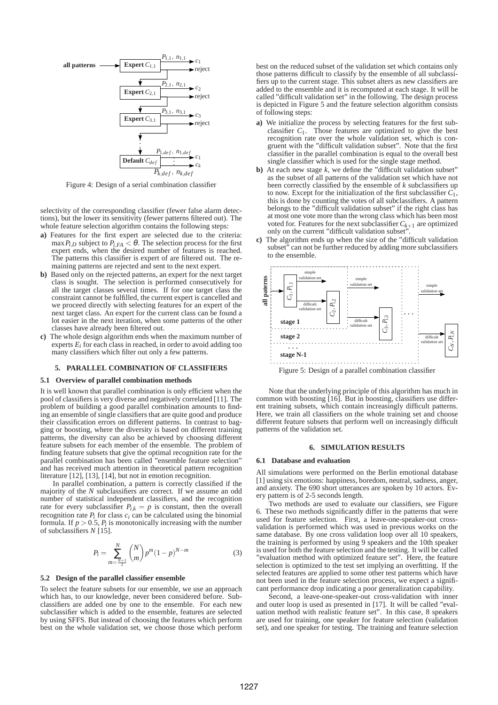

Figure 4: Design of a serial combination classifier

selectivity of the corresponding classifier (fewer false alarm detections), but the lower its sensitivity (fewer patterns filtered out). The whole feature selection algorithm contains the following steps:

- **a)** Features for the first expert are selected due to the criteria: max  $P_{i,D}$  subject to  $P_{i,FA} < \theta$ . The selection process for the first expert ends, when the desired number of features is reached. The patterns this classifier is expert of are filtered out. The remaining patterns are rejected and sent to the next expert.
- **b)** Based only on the rejected patterns, an expert for the next target class is sought. The selection is performed consecutively for all the target classes several times. If for one target class the constraint cannot be fulfilled, the current expert is cancelled and we proceed directly with selecting features for an expert of the next target class. An expert for the current class can be found a lot easier in the next iteration, when some patterns of the other classes have already been filtered out.
- **c)** The whole design algorithm ends when the maximum number of experts  $E_i$  for each class in reached, in order to avoid adding too many classifiers which filter out only a few patterns.

#### **5. PARALLEL COMBINATION OF CLASSIFIERS**

## **5.1 Overview of parallel combination methods**

It is well known that parallel combination is only efficient when the pool of classifiers is very diverse and negatively correlated [11]. The problem of building a good parallel combination amounts to finding an ensemble of single classifiers that are quite good and produce their classification errors on different patterns. In contrast to bagging or boosting, where the diversity is based on different training patterns, the diversity can also be achieved by choosing different feature subsets for each member of the ensemble. The problem of finding feature subsets that give the optimal recognition rate for the parallel combination has been called "ensemble feature selection" and has received much attention in theoretical pattern recognition literature [12], [13], [14], but not in emotion recognition.

In parallel combination, a pattern is correctly classified if the majority of the *N* subclassifiers are correct. If we assume an odd number of statistical independent classifiers, and the recognition rate for every subclassifier  $P_{i,k} = p$  is constant, then the overall recognition rate  $P_i$  for class  $c_i$  can be calculated using the binomial formula. If  $p > 0.5$ ,  $P_i$  is monotonically increasing with the number of subclassifiers *N* [15].

$$
P_i = \sum_{m=\frac{N+1}{2}}^{N} {N \choose m} p^m (1-p)^{N-m}
$$
 (3)

#### **5.2 Design of the parallel classifier ensemble**

To select the feature subsets for our ensemble, we use an approach which has, to our knowledge, never been considered before. Subclassifiers are added one by one to the ensemble. For each new subclassifier which is added to the ensemble, features are selected by using SFFS. But instead of choosing the features which perform best on the whole validation set, we choose those which perform best on the reduced subset of the validation set which contains only those patterns difficult to classify by the ensemble of all subclassifiers up to the current stage. This subset alters as new classifiers are added to the ensemble and it is recomputed at each stage. It will be called "difficult validation set" in the following. The design process is depicted in Figure 5 and the feature selection algorithm consists of following steps:

- **a)** We initialize the process by selecting features for the first subclassifier  $C_1$ . Those features are optimized to give the best recognition rate over the whole validation set, which is congruent with the "difficult validation subset". Note that the first classifier in the parallel combination is equal to the overall best single classifier which is used for the single stage method.
- **b)** At each new stage *k*, we define the "difficult validation subset" as the subset of all patterns of the validation set which have not been correctly classified by the ensemble of *k* subclassifiers up to now. Except for the initialization of the first subclassifier  $C_1$ , this is done by counting the votes of all subclassifiers. A pattern belongs to the "difficult validation subset" if the right class has at most one vote more than the wrong class which has been most voted for. Features for the next subclassifier  $C_{k+1}$  are optimized only on the current "difficult validation subset".
- **c)** The algorithm ends up when the size of the "difficult validation subset" can not be further reduced by adding more subclassifiers to the ensemble.



Note that the underlying principle of this algorithm has much in common with boosting [16]. But in boosting, classifiers use different training subsets, which contain increasingly difficult patterns. Here, we train all classifiers on the whole training set and choose different feature subsets that perform well on increasingly difficult patterns of the validation set.

#### **6. SIMULATION RESULTS**

#### **6.1 Database and evaluation**

All simulations were performed on the Berlin emotional database [1] using six emotions: happiness, boredom, neutral, sadness, anger, and anxiety. The 690 short utterances are spoken by 10 actors. Every pattern is of 2-5 seconds length.

Two methods are used to evaluate our classifiers, see Figure 6. These two methods significantly differ in the patterns that were used for feature selection. First, a leave-one-speaker-out crossvalidation is performed which was used in previous works on the same database. By one cross validation loop over all 10 speakers, the training is performed by using 9 speakers and the 10th speaker is used for both the feature selection and the testing. It will be called "evaluation method with optimized feature set". Here, the feature selection is optimized to the test set implying an overfitting. If the selected features are applied to some other test patterns which have not been used in the feature selection process, we expect a significant performance drop indicating a poor generalization capability.

Second, a leave-one-speaker-out cross-validation with inner and outer loop is used as presented in [17]. It will be called "evaluation method with realistic feature set". In this case, 8 speakers are used for training, one speaker for feature selection (validation set), and one speaker for testing. The training and feature selection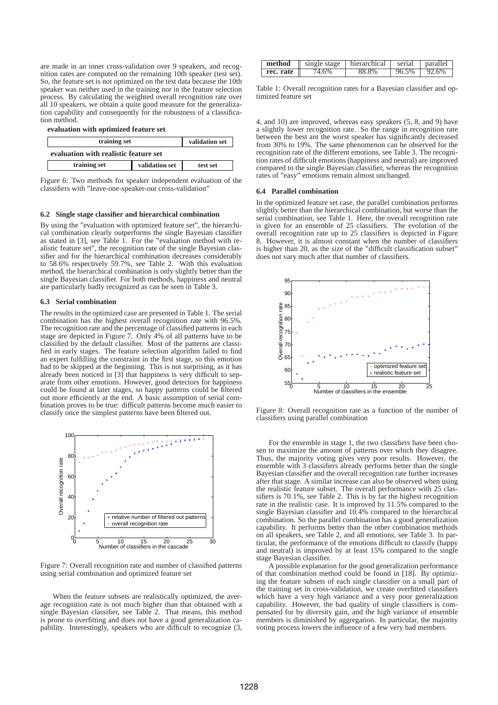are made in an inner cross-validation over 9 speakers, and recognition rates are computed on the remaining 10th speaker (test set). So, the feature set is not optimized on the test data because the 10th speaker was neither used in the training nor in the feature selection process. By calculating the weighted overall recognition rate over all 10 speakers, we obtain a quite good measure for the generalization capability and consequently for the robustness of a classification method.

**evaluation with optimized feature set**

| training set                          | validation set |          |  |  |  |
|---------------------------------------|----------------|----------|--|--|--|
| evaluation with realistic feature set |                |          |  |  |  |
| training set                          | validation set | test set |  |  |  |

Figure 6: Two methods for speaker independent evaluation of the classifiers with "leave-one-speaker-out cross-validation"

## **6.2 Single stage classifier and hierarchical combination**

By using the "evaluation with optimized feature set", the hierarchical combination clearly outperforms the single Bayesian classifier as stated in [3], see Table 1. For the "evaluation method with realistic feature set", the recognition rate of the single Bayesian classifier and for the hierarchical combination decreases considerably to 58.6% respectively 59.7%, see Table 2. With this evaluation method, the hierarchical combination is only slightly better than the single Bayesian classifier. For both methods, happiness and neutral are particularly badly recognized as can be seen in Table 3.

#### **6.3 Serial combination**

The results in the optimized case are presented in Table 1. The serial combination has the highest overall recognition rate with 96.5%. The recognition rate and the percentage of classified patterns in each stage are depicted in Figure 7. Only 4% of all patterns have to be classified by the default classifier. Most of the patterns are classified in early stages. The feature selection algorithm failed to find an expert fulfilling the constraint in the first stage, so this emotion had to be skipped at the beginning. This is not surprising, as it has already been noticed in [3] that happiness is very difficult to separate from other emotions. However, good detectors for happiness could be found at later stages, so happy patterns could be filtered out more efficiently at the end. A basic assumption of serial combination proves to be true: difficult patterns become much easier to classify once the simplest patterns have been filtered out.



Figure 7: Overall recognition rate and number of classified patterns using serial combination and optimized feature set

When the feature subsets are realistically optimized, the average recognition rate is not much higher than that obtained with a single Bayesian classifier, see Table 2. That means, this method is prone to overfitting and does not have a good generalization capability. Interestingly, speakers who are difficult to recognize (3,

| method    | single stage | hierarchical | serial | parallel |
|-----------|--------------|--------------|--------|----------|
| rec. rate | 74.6%        | 88.8%        | 96.5%  | 92.6%    |

Table 1: Overall recognition rates for a Bayesian classifier and optimized feature set

4, and 10) are improved, whereas easy speakers (5, 8, and 9) have a slightly lower recognition rate. So the range in recognition rate between the best ant the worst speaker has significantly decreased from 30% to 19%. The same phenomenon can be observed for the recognition rate of the different emotions, see Table 3. The recognition rates of difficult emotions (happiness and neutral) are improved compared to the single Bayesian classifier, whereas the recognition rates of "easy" emotions remain almost unchanged.

#### **6.4 Parallel combination**

In the optimized feature set case, the parallel combination performs slightly better than the hierarchical combination, but worse than the serial combination, see Table 1. Here, the overall recognition rate is given for an ensemble of 25 classifiers. The evolution of the overall recognition rate up to 25 classifiers is depicted in Figure 8. However, it is almost constant when the number of classifiers is higher than 20, as the size of the "difficult classification subset" does not vary much after that number of classifiers.



Figure 8: Overall recognition rate as a function of the number of classifiers using parallel combination

For the ensemble in stage 1, the two classifiers have been chosen to maximize the amount of patterns over which they disagree. Thus, the majority voting gives very poor results. However, the ensemble with 3 classifiers already performs better than the single Bayesian classifier and the overall recognition rate further increases after that stage. A similar increase can also be observed when using the realistic feature subset. The overall performance with 25 classifiers is 70.1%, see Table 2. This is by far the highest recognition rate in the realistic case. It is improved by 11.5% compared to the single Bayesian classifier and 10.4% compared to the hierarchical combination. So the parallel combination has a good generalization capability. It performs better than the other combination methods on all speakers, see Table 2, and all emotions, see Table 3. In particular, the performance of the emotions difficult to classify (happy and neutral) is improved by at least 15% compared to the single stage Bayesian classifier.

A possible explanation for the good generalization performance of that combination method could be found in [18]. By optimizing the feature subsets of each single classifier on a small part of the training set in cross-validation, we create overfitted classifiers which have a very high variance and a very poor generalization capability. However, the bad quality of single classifiers is compensated for by diversity gain, and the high variance of ensemble members is diminished by aggregation. In particular, the majority voting process lowers the influence of a few very bad members.